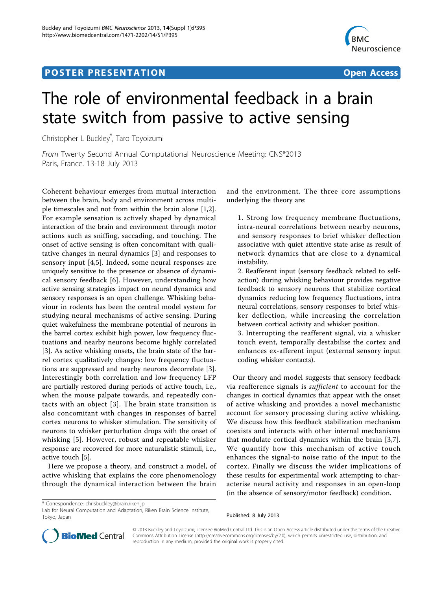## **POSTER PRESENTATION CONSUMING THE SERVICE SERVICE SERVICES**



## The role of environmental feedback in a brain state switch from passive to active sensing

Christopher L Buckley\* , Taro Toyoizumi

From Twenty Second Annual Computational Neuroscience Meeting: CNS\*2013 Paris, France. 13-18 July 2013

Coherent behaviour emerges from mutual interaction between the brain, body and environment across multiple timescales and not from within the brain alone [\[1,2](#page-1-0)]. For example sensation is actively shaped by dynamical interaction of the brain and environment through motor actions such as sniffing, saccading, and touching. The onset of active sensing is often concomitant with qualitative changes in neural dynamics [\[3](#page-1-0)] and responses to sensory input [\[4](#page-1-0),[5\]](#page-1-0). Indeed, some neural responses are uniquely sensitive to the presence or absence of dynamical sensory feedback [[6](#page-1-0)]. However, understanding how active sensing strategies impact on neural dynamics and sensory responses is an open challenge. Whisking behaviour in rodents has been the central model system for studying neural mechanisms of active sensing. During quiet wakefulness the membrane potential of neurons in the barrel cortex exhibit high power, low frequency fluctuations and nearby neurons become highly correlated [[3\]](#page-1-0). As active whisking onsets, the brain state of the barrel cortex qualitatively changes: low frequency fluctuations are suppressed and nearby neurons decorrelate [\[3](#page-1-0)]. Interestingly both correlation and low frequency LFP are partially restored during periods of active touch, i.e., when the mouse palpate towards, and repeatedly contacts with an object [\[3\]](#page-1-0). The brain state transition is also concomitant with changes in responses of barrel cortex neurons to whisker stimulation. The sensitivity of neurons to whisker perturbation drops with the onset of whisking [[5\]](#page-1-0). However, robust and repeatable whisker response are recovered for more naturalistic stimuli, i.e., active touch [[5\]](#page-1-0).

Here we propose a theory, and construct a model, of active whisking that explains the core phenomenology through the dynamical interaction between the brain

and the environment. The three core assumptions underlying the theory are:

1. Strong low frequency membrane fluctuations, intra-neural correlations between nearby neurons, and sensory responses to brief whisker deflection associative with quiet attentive state arise as result of network dynamics that are close to a dynamical instability.

2. Reafferent input (sensory feedback related to selfaction) during whisking behaviour provides negative feedback to sensory neurons that stabilize cortical dynamics reducing low frequency fluctuations, intra neural correlations, sensory responses to brief whisker deflection, while increasing the correlation between cortical activity and whisker position.

3. Interrupting the reafferent signal, via a whisker touch event, temporally destabilise the cortex and enhances ex-afferent input (external sensory input coding whisker contacts).

Our theory and model suggests that sensory feedback via reafference signals is sufficient to account for the changes in cortical dynamics that appear with the onset of active whisking and provides a novel mechanistic account for sensory processing during active whisking. We discuss how this feedback stabilization mechanism coexists and interacts with other internal mechanisms that modulate cortical dynamics within the brain [[3,7](#page-1-0)]. We quantify how this mechanism of active touch enhances the signal-to noise ratio of the input to the cortex. Finally we discuss the wider implications of these results for experimental work attempting to characterise neural activity and responses in an open-loop (in the absence of sensory/motor feedback) condition.

Lab for Neural Computation and Adaptation, Riken Brain Science Institute, Tokyo, Japan





© 2013 Buckley and Toyoizumi; licensee BioMed Central Ltd. This is an Open Access article distributed under the terms of the Creative Commons Attribution License [\(http://creativecommons.org/licenses/by/2.0](http://creativecommons.org/licenses/by/2.0)), which permits unrestricted use, distribution, and reproduction in any medium, provided the original work is properly cited.

<sup>\*</sup> Correspondence: [chrisbuckley@brain.riken.jp](mailto:chrisbuckley@brain.riken.jp)